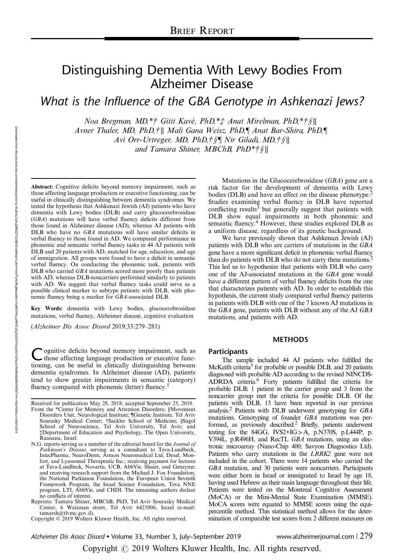# Distinguishing Dementia With Lewy Bodies From Alzheimer Disease

What is the Influence of the GBA Genotype in Ashkenazi Jews?

Noa Bregman, MD,\*† Gitit Kavé, PhD,\*‡ Anat Mirelman, PhD,\*†§∥ Avner Thaler, MD, PhD,†∥ Mali Gana Weisz, PhD,¶ Anat Bar-Shira, PhD,¶ Avi Orr-Urtreger, MD, PhD,†§¶ Nir Giladi, MD,†§∥ and Tamara Shiner, MBChB, PhD\*†§∥

Abstract: Cognitive deficits beyond memory impairment, such as those affecting language production or executive functioning, can be useful in clinically distinguishing between dementia syndromes. We tested the hypothesis that Ashkenazi Jewish (AJ) patients who have dementia with Lewy bodies (DLB) and carry glucocerebrosidase (GBA) mutations will have verbal fluency deficits different from those found in Alzheimer disease (AD), whereas AJ patients with DLB who have no GBA mutations will have similar deficits in verbal fluency to those found in AD. We compared performance in phonemic and semantic verbal fluency tasks in 44 AJ patients with DLB and 20 patients with AD, matched for age, education, and age of immigration. All groups were found to have a deficit in semantic verbal fluency. On conducting the phonemic task, patients with DLB who carried *GBA* mutations scored more poorly than patients with AD, whereas DLB-noncarriers performed similarly to patients with AD. We suggest that verbal fluency tasks could serve as a possible clinical marker to subtype patients with DLB, with phonemic fluency being a marker for GBA-associated DLB.

Key Words: dementia with Lewy bodies, glucocerobrosidase mutations, verbal fluency, Alzheimer disease, cognitive evaluation

(Alzheimer Dis Assoc Disord 2019;33:279–281)

ognitive deficits beyond memory impairment, such as those affecting language production or executive functioning, can be useful in clinically distinguishing between dementia syndromes. In Alzheimer disease (AD), patients tend to show greater impairments in semantic (category) fluency compared with phonemic (letter) fluency.<sup>1</sup>

Received for publication May 28, 2018; accepted September 25, 2018.

- From the \*Center for Memory and Attention Disorders; ∥Movement Disorders Unit, Neurological Institute; ¶Genetic Institute, Tel Aviv Sourasky Medical Center; †Sackler School of Medicine; §Sagol School of Neuroscience, Tel Aviv University, Tel Aviv; and ‡Department of Education and Psychology, The Open University, Raanana, Israel.
- N.G. reports serving as a member of the editorial board for the Journal of Parkinson's Disease; serving as a consultant to Teva-Lundbeck, IntecPharma, NeuroDerm, Armon Neuromedical Ltd, Dexel, Monfort, and Lysosomal Therapeutic Inc.; receiving payment for lectures at Teva-Lundbeck, Novartis, UCB, AbbVie, Shaier, and Genzyme; and receiving research support from the Michael J. Fox Foundation, the National Parkinson Foundation, the European Union Seventh Framework Program, the Israel Science Foundation, Teva NNE program, LTI, AbbVie, and CHDI. The remaining authors declare no conflicts of interest.

Reprints: Tamara Shiner, MBChB, PhD, Tel Aviv Sourasky Medical Center, 6 Weizman street, Tel Aviv 6423906, Israel (e-mail: [tamarsh@tlvmc.gov.il](mailto:tamarsh@tlvmc.gov.il)).

Copyright © 2019 Wolters Kluwer Health, Inc. All rights reserved.

Mutations in the Glucocerebrosidase (GBA) gene are a risk factor for the development of dementia with Lewy bodies (DLB) and have an effect on the disease phenotype.<sup>2</sup> Studies examining verbal fluency in DLB have reported conflicting results<sup>3</sup> but generally suggest that patients with DLB show equal impairments in both phonemic and semantic fluency.<sup>4</sup> However, these studies explored DLB as a uniform disease, regardless of its genetic background.

We have previously shown that Ashkenazi Jewish (AJ) patients with DLB who are carriers of mutations in the GBA gene have a more significant deficit in phonemic verbal fluency than do patients with DLB who do not carry these mutations.<sup>2</sup> This led us to hypothesize that patients with DLB who carry one of the AJ-associated mutations in the GBA gene would have a different pattern of verbal fluency deficits from the one that characterizes patients with AD. In order to establish this hypothesis, the current study compared verbal fluency patterns in patients with DLB with one of the 7 known AJ mutations in the GBA gene, patients with DLB without any of the AJ GBA mutations, and patients with AD.

# **METHODS**

## **Participants**

The sample included 44 AJ patients who fulfilled the McKeith criteria<sup>5</sup> for probable or possible DLB, and 20 patients diagnosed with probable AD according to the revised NINCDS-ADRDA criteria.6 Forty patients fulfilled the criteria for probable DLB; 1 patient in the carrier group and 3 from the noncarrier group met the criteria for possible DLB. Of the patients with DLB, 13 have been reported in our previous analysis.<sup>2</sup> Patients with DLB underwent genotyping for  $GBA$ mutations. Genotyping of founder GBA mutations was performed, as previously described.<sup>2</sup> Briefly, patients underwent testing for the 84GG, IVS2+IG>A, p.N370S, p.L444P, p. V394L, p.R496H, and RecTL GBA mutations, using an electronic microarray (Nano-Chip 400; Savyon Diagnostics Ltd). Patients who carry mutations in the LRRK2 gene were not included in the cohort. There were 14 patients who carried the GBA mutation, and 30 patients were noncarriers. Participants were either born in Israel or immigrated to Israel by age 18, having used Hebrew as their main language throughout their life. Patients were tested on the Montreal Cognitive Assessment (MoCA) or the Mini-Mental State Examination (MMSE). MoCA scores were equated to MMSE scores using the equipercentile method. This statistical method allows for the determination of comparable test scores from 2 different measures on

Downloaded from

http://journals.lww.com/alzheimerjournal

হ

Copyright  $\odot$  2019 Wolters Kluwer Health, Inc. All rights reserved.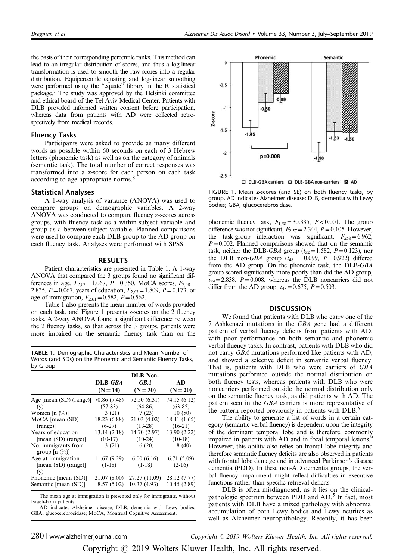the basis of their corresponding percentile ranks. This method can lead to an irregular distribution of scores, and thus a log-linear transformation is used to smooth the raw scores into a regular distribution. Equipercentile equating and log-linear smoothing were performed using the "equate" library in the R statistical package.<sup>7</sup> The study was approved by the Helsinki committee and ethical board of the Tel Aviv Medical Center. Patients with DLB provided informed written consent before participation, whereas data from patients with AD were collected retrospectively from medical records.

### Fluency Tasks

Participants were asked to provide as many different words as possible within 60 seconds on each of 3 Hebrew letters (phonemic task) as well as on the category of animals (semantic task). The total number of correct responses was transformed into a z-score for each person on each task according to age-appropriate norms.<sup>8</sup>

#### Statistical Analyses

A 1-way analysis of variance (ANOVA) was used to compare groups on demographic variables. A 2-way ANOVA was conducted to compare fluency z-scores across groups, with fluency task as a within-subject variable and group as a between-subject variable. Planned comparisons were used to compare each DLB group to the AD group on each fluency task. Analyses were performed with SPSS.

### RESULTS

Patient characteristics are presented in Table 1. A 1-way ANOVA that compared the 3 groups found no significant differences in age,  $F_{2,63} = 1.067$ ,  $P = 0.350$ , MoCA scores,  $F_{2,58} =$ 2.835,  $P = 0.067$ , years of education,  $F_{2,63} = 1.809$ ,  $P = 0.173$ , or age of immigration,  $F_{2,61} = 0.582$ ,  $P = 0.562$ .

Table 1 also presents the mean number of words provided on each task, and Figure 1 presents z-scores on the 2 fluency tasks. A 2-way ANOVA found a significant difference between the 2 fluency tasks, so that across the 3 groups, patients were more impaired on the semantic fluency task than on the

TABLE 1. Demographic Characteristics and Mean Number of Words (and SDs) on the Phonemic and Semantic Fluency Tasks, by Group

|                                           | <b>DLB</b> Non-                         |               |              |
|-------------------------------------------|-----------------------------------------|---------------|--------------|
|                                           | $\mathbf{D} \mathbf{L} \mathbf{B}$ -GBA | <b>GBA</b>    | AD           |
|                                           | $(N = 14)$                              | $(N = 30)$    | $(N = 20)$   |
| Age [mean (SD) (range)]                   | 70.86 (7.48)                            | 72.50 (6.31)  | 74.15 (6.12) |
| (v)                                       | $(57-83)$                               | $(64-86)$     | $(63-85)$    |
| Women [n $(\%)$ ]                         | 3(21)                                   | 7(23)         | 10(50)       |
| $MoCA$ [mean $(SD)$ ]                     | 18.23 (6.88)                            | 21.03(4.02)   | 18.41 (1.65) |
| (range)                                   | $(6-27)$                                | $(13-28)$     | $(16-21)$    |
| Years of education                        | 13.14(2.18)                             | 14.70 (2.97)  | 13.90 (2.22) |
| [mean (SD) (range)]                       | $(10-17)$                               | $(10-24)$     | $(10-18)$    |
| No. immigrants from<br>group $[n \ (\%)]$ | 3(21)                                   | 6(20)         | 8(40)        |
| Age at immigration                        | 11.67 (9.29)                            | 6.00(6.16)    | 6.71(5.09)   |
| [mean (SD) (range)]<br>(v)                | $(1-18)$                                | $(1-18)$      | $(2-16)$     |
| Phonemic [mean (SD)]                      | 21.07 (8.00)                            | 27.27 (11.09) | 28.12 (7.77) |
| Semantic [mean (SD)]                      | 8.57(5.02)                              | 10.37(4.93)   | 10.45(2.89)  |

The mean age at immigration is presented only for immigrants, without Israeli-born patients.

AD indicates Alzheimer disease; DLB, dementia with Lewy bodies; GBA, glucocerebrosidase; MoCA, Montreal Cognitive Assessment.



FIGURE 1. Mean z-scores (and SE) on both fluency tasks, by group. AD indicates Alzheimer disease; DLB, dementia with Lewy bodies; GBA, glucocerebrosidase.

phonemic fluency task,  $F_{1,58} = 30.335$ ,  $P < 0.001$ . The group difference was not significant,  $F_{2,57} = 2.344$ ,  $P = 0.105$ . However, the task-group interaction was significant,  $F_{258} = 6.962$ ,  $P=0.002$ . Planned comparisons showed that on the semantic task, neither the DLB-GBA group  $(t_{32}=1.582, P=0.123)$ , nor the DLB non-GBA group ( $t_{48} = -0.099$ ,  $P = 0.922$ ) differed from the AD group. On the phonemic task, the DLB-GBA group scored significantly more poorly than did the AD group,  $t_{29}=2.838$ ,  $P=0.008$ , whereas the DLB noncarriers did not differ from the AD group,  $t_{45} = 0.675$ ,  $P = 0.503$ .

# **DISCUSSION**

We found that patients with DLB who carry one of the 7 Ashkenazi mutations in the GBA gene had a different pattern of verbal fluency deficits from patients with AD, with poor performance on both semantic and phonemic verbal fluency tasks. In contrast, patients with DLB who did not carry GBA mutations performed like patients with AD, and showed a selective deficit in semantic verbal fluency. That is, patients with DLB who were carriers of GBA mutations performed outside the normal distribution on both fluency tests, whereas patients with DLB who were noncarriers performed outside the normal distribution only on the semantic fluency task, as did patients with AD. The pattern seen in the GBA carriers is more representative of the pattern reported previously in patients with DLB.<sup>6</sup>

The ability to generate a list of words in a certain category (semantic verbal fluency) is dependent upon the integrity of the dominant temporal lobe and is therefore, commonly impaired in patients with AD and in focal temporal lesions. However, this ability also relies on frontal lobe integrity and therefore semantic fluency deficits are also observed in patients with frontal lobe damage and in advanced Parkinson's disease dementia (PDD). In these non-AD dementia groups, the verbal fluency impairment might reflect difficulties in executive functions rather than specific retrieval deficits.

DLB is often misdiagnosed, as it lies on the clinicalpathologic spectrum between PDD and AD.<sup>5</sup> In fact, most patients with DLB have a mixed pathology with abnormal accumulation of both Lewy bodies and Lewy neurites as well as Alzheimer neuropathology. Recently, it has been

 $280$  | www.alzheimerjournal.com  $\hbox{Copyright} \otimes 2019$  Wolters Kluwer Health, Inc. All rights reserved.

Copyright  $\odot$  2019 Wolters Kluwer Health, Inc. All rights reserved.